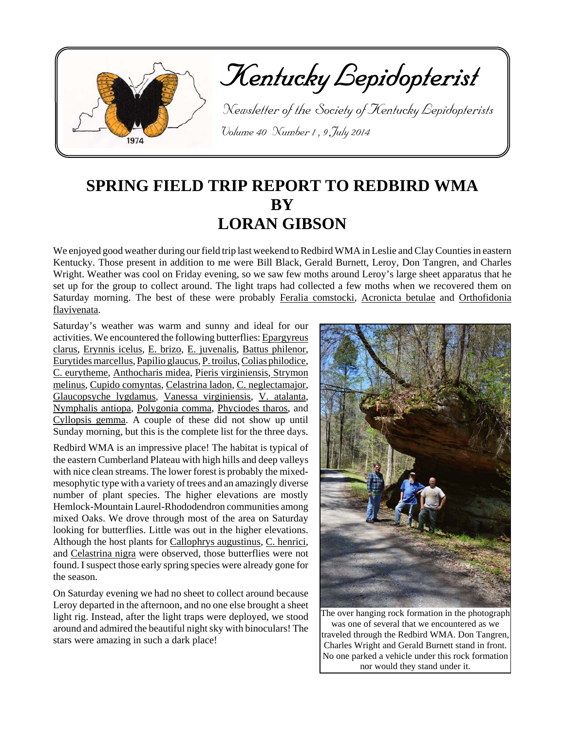

Kentucky Lepidopterist

 Newsletter of the Society of Kentucky Lepidopterists Volume 40 Number 1 , 9 July 2014

# **SPRING FIELD TRIP REPORT TO REDBIRD WMA BY LORAN GIBSON**

We enjoyed good weather during our field trip last weekend to Redbird WMA in Leslie and Clay Counties in eastern Kentucky. Those present in addition to me were Bill Black, Gerald Burnett, Leroy, Don Tangren, and Charles Wright. Weather was cool on Friday evening, so we saw few moths around Leroy's large sheet apparatus that he set up for the group to collect around. The light traps had collected a few moths when we recovered them on Saturday morning. The best of these were probably Feralia comstocki, Acronicta betulae and Orthofidonia flavivenata.

Saturday's weather was warm and sunny and ideal for our activities. We encountered the following butterflies: Epargyreus clarus, Erynnis icelus, E. brizo, E. juvenalis, Battus philenor, Eurytides marcellus, Papilio glaucus, P. troilus, Colias philodice, C. eurytheme, Anthocharis midea, Pieris virginiensis, Strymon melinus, Cupido comyntas, Celastrina ladon, C. neglectamajor, Glaucopsyche lygdamus, Vanessa virginiensis, V. atalanta, Nymphalis antiopa, Polygonia comma, Phyciodes tharos, and Cyllopsis gemma. A couple of these did not show up until Sunday morning, but this is the complete list for the three days.

Redbird WMA is an impressive place! The habitat is typical of the eastern Cumberland Plateau with high hills and deep valleys with nice clean streams. The lower forest is probably the mixedmesophytic type with a variety of trees and an amazingly diverse number of plant species. The higher elevations are mostly Hemlock-Mountain Laurel-Rhododendron communities among mixed Oaks. We drove through most of the area on Saturday looking for butterflies. Little was out in the higher elevations. Although the host plants for Callophrys augustinus, C. henrici, and Celastrina nigra were observed, those butterflies were not found. I suspect those early spring species were already gone for the season.

On Saturday evening we had no sheet to collect around because Leroy departed in the afternoon, and no one else brought a sheet light rig. Instead, after the light traps were deployed, we stood around and admired the beautiful night sky with binoculars! The stars were amazing in such a dark place!



The over hanging rock formation in the photograph was one of several that we encountered as we traveled through the Redbird WMA. Don Tangren, Charles Wright and Gerald Burnett stand in front. No one parked a vehicle under this rock formation nor would they stand under it.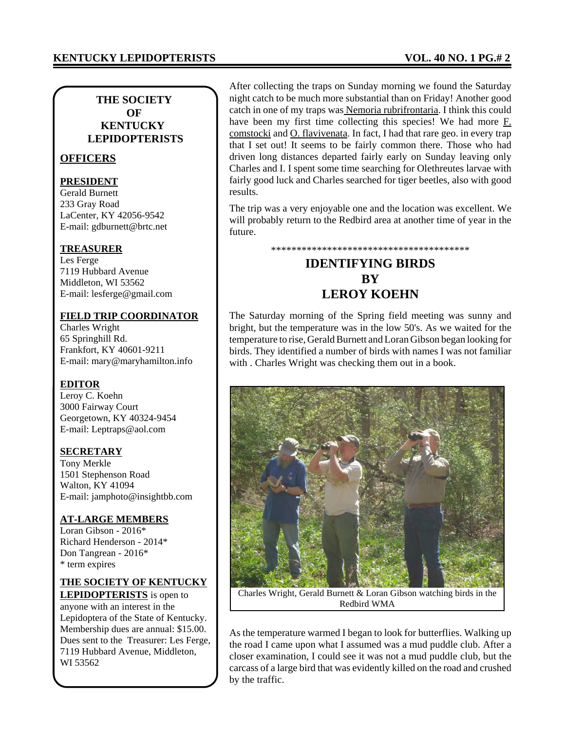### **THE SOCIETY OF KENTUCKY LEPIDOPTERISTS**

### **OFFICERS**

### **PRESIDENT**

Gerald Burnett 233 Gray Road LaCenter, KY 42056-9542 E-mail: gdburnett@brtc.net

### **TREASURER**

Les Ferge 7119 Hubbard Avenue Middleton, WI 53562 E-mail: lesferge@gmail.com

### **FIELD TRIP COORDINATOR**

Charles Wright 65 Springhill Rd. Frankfort, KY 40601-9211 E-mail: mary@maryhamilton.info

### **EDITOR**

Leroy C. Koehn 3000 Fairway Court Georgetown, KY 40324-9454 E-mail: Leptraps@aol.com

### **SECRETARY**

Tony Merkle 1501 Stephenson Road Walton, KY 41094 E-mail: jamphoto@insightbb.com

### **AT-LARGE MEMBERS**

Loran Gibson - 2016\* Richard Henderson - 2014\* Don Tangrean - 2016\* \* term expires

#### **THE SOCIETY OF KENTUCKY LEPIDOPTERISTS** is open to

anyone with an interest in the Lepidoptera of the State of Kentucky. Membership dues are annual: \$15.00. Dues sent to the Treasurer: Les Ferge, 7119 Hubbard Avenue, Middleton, WI 53562

After collecting the traps on Sunday morning we found the Saturday night catch to be much more substantial than on Friday! Another good catch in one of my traps was Nemoria rubrifrontaria. I think this could have been my first time collecting this species! We had more F. comstocki and O. flavivenata. In fact, I had that rare geo. in every trap that I set out! It seems to be fairly common there. Those who had driven long distances departed fairly early on Sunday leaving only Charles and I. I spent some time searching for Olethreutes larvae with fairly good luck and Charles searched for tiger beetles, also with good results.

The trip was a very enjoyable one and the location was excellent. We will probably return to the Redbird area at another time of year in the future.

\*\*\*\*\*\*\*\*\*\*\*\*\*\*\*\*\*\*\*\*\*\*\*\*\*\*\*\*\*\*\*\*\*\*\*\*\*\*\*

# **IDENTIFYING BIRDS BY LEROY KOEHN**

The Saturday morning of the Spring field meeting was sunny and bright, but the temperature was in the low 50's. As we waited for the temperature to rise, Gerald Burnett and Loran Gibson began looking for birds. They identified a number of birds with names I was not familiar with . Charles Wright was checking them out in a book.



Charles Wright, Gerald Burnett & Loran Gibson watching birds in the Redbird WMA

As the temperature warmed I began to look for butterflies. Walking up the road I came upon what I assumed was a mud puddle club. After a closer examination, I could see it was not a mud puddle club, but the carcass of a large bird that was evidently killed on the road and crushed by the traffic.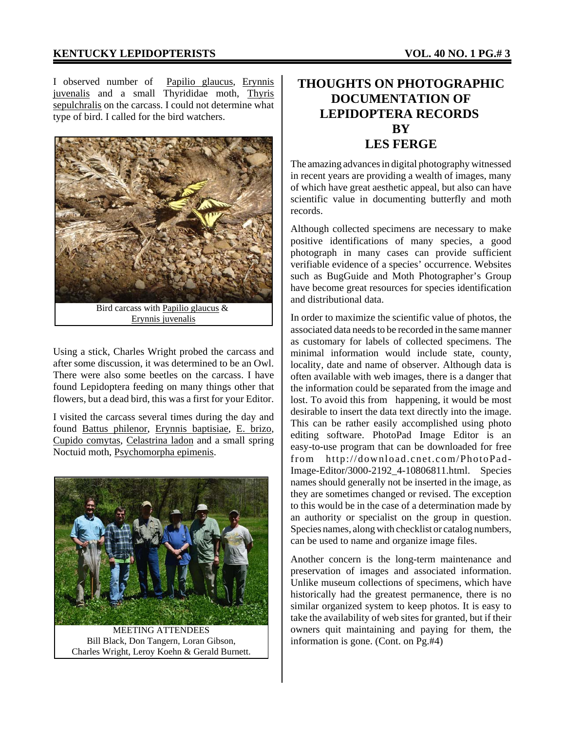I observed number of Papilio glaucus, Erynnis juvenalis and a small Thyrididae moth, Thyris sepulchralis on the carcass. I could not determine what type of bird. I called for the bird watchers.



Using a stick, Charles Wright probed the carcass and after some discussion, it was determined to be an Owl. There were also some beetles on the carcass. I have found Lepidoptera feeding on many things other that flowers, but a dead bird, this was a first for your Editor.

I visited the carcass several times during the day and found Battus philenor, Erynnis baptisiae, E. brizo, Cupido comytas, Celastrina ladon and a small spring Noctuid moth, Psychomorpha epimenis.



MEETING ATTENDEES Bill Black, Don Tangern, Loran Gibson, Charles Wright, Leroy Koehn & Gerald Burnett.

# **THOUGHTS ON PHOTOGRAPHIC DOCUMENTATION OF LEPIDOPTERA RECORDS BY LES FERGE**

The amazing advances in digital photography witnessed in recent years are providing a wealth of images, many of which have great aesthetic appeal, but also can have scientific value in documenting butterfly and moth records.

Although collected specimens are necessary to make positive identifications of many species, a good photograph in many cases can provide sufficient verifiable evidence of a species' occurrence. Websites such as BugGuide and Moth Photographer's Group have become great resources for species identification and distributional data.

In order to maximize the scientific value of photos, the associated data needs to be recorded in the same manner as customary for labels of collected specimens. The minimal information would include state, county, locality, date and name of observer. Although data is often available with web images, there is a danger that the information could be separated from the image and lost. To avoid this from happening, it would be most desirable to insert the data text directly into the image. This can be rather easily accomplished using photo editing software. PhotoPad Image Editor is an easy-to-use program that can be downloaded for free from http://download.cnet.com/PhotoPad-Image-Editor/3000-2192\_4-10806811.html. Species names should generally not be inserted in the image, as they are sometimes changed or revised. The exception to this would be in the case of a determination made by an authority or specialist on the group in question. Species names, along with checklist or catalog numbers, can be used to name and organize image files.

Another concern is the long-term maintenance and preservation of images and associated information. Unlike museum collections of specimens, which have historically had the greatest permanence, there is no similar organized system to keep photos. It is easy to take the availability of web sites for granted, but if their owners quit maintaining and paying for them, the information is gone. (Cont. on Pg.#4)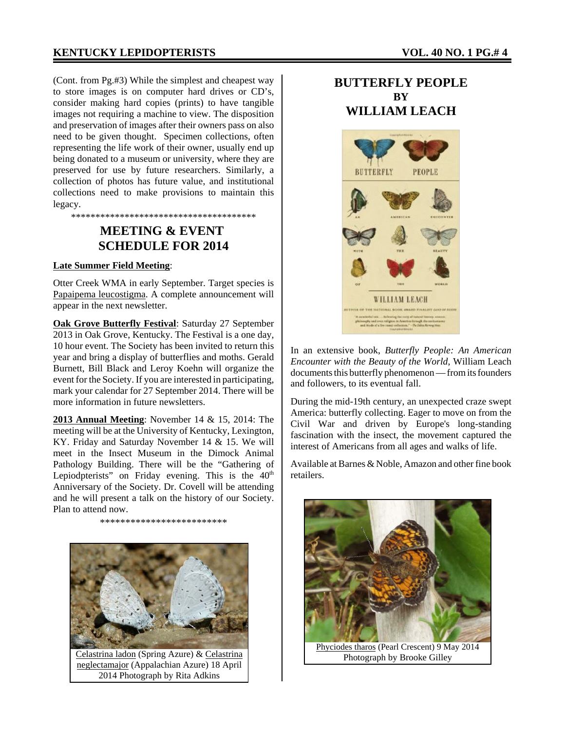(Cont. from Pg.#3) While the simplest and cheapest way to store images is on computer hard drives or CD's, consider making hard copies (prints) to have tangible images not requiring a machine to view. The disposition and preservation of images after their owners pass on also need to be given thought. Specimen collections, often representing the life work of their owner, usually end up being donated to a museum or university, where they are preserved for use by future researchers. Similarly, a collection of photos has future value, and institutional collections need to make provisions to maintain this legacy.

# **MEETING & EVENT SCHEDULE FOR 2014**

\*\*\*\*\*\*\*\*\*\*\*\*\*\*\*\*\*\*\*\*\*\*\*\*\*\*\*\*\*\*\*\*\*\*\*\*\*\*

#### **Late Summer Field Meeting**:

Otter Creek WMA in early September. Target species is Papaipema leucostigma. A complete announcement will appear in the next newsletter.

**Oak Grove Butterfly Festival**: Saturday 27 September 2013 in Oak Grove, Kentucky. The Festival is a one day, 10 hour event. The Society has been invited to return this year and bring a display of butterflies and moths. Gerald Burnett, Bill Black and Leroy Koehn will organize the event for the Society. If you are interested in participating, mark your calendar for 27 September 2014. There will be more information in future newsletters.

**2013 Annual Meeting**: November 14 & 15, 2014: The meeting will be at the University of Kentucky, Lexington, KY. Friday and Saturday November 14 & 15. We will meet in the Insect Museum in the Dimock Animal Pathology Building. There will be the "Gathering of Lepiodpterists" on Friday evening. This is the  $40<sup>th</sup>$ Anniversary of the Society. Dr. Covell will be attending and he will present a talk on the history of our Society. Plan to attend now.

\*\*\*\*\*\*\*\*\*\*\*\*\*\*\*\*\*\*\*\*\*\*\*\*\*



Celastrina ladon (Spring Azure) & Celastrina neglectamajor (Appalachian Azure) 18 April 2014 Photograph by Rita Adkins

# **BUTTERFLY PEOPLE BY WILLIAM LEACH**



In an extensive book, *Butterfly People: An American Encounter with the Beauty of the World*, William Leach documents this butterfly phenomenon — from its founders and followers, to its eventual fall.

During the mid-19th century, an unexpected craze swept America: butterfly collecting. Eager to move on from the Civil War and driven by Europe's long-standing fascination with the insect, the movement captured the interest of Americans from all ages and walks of life.

Available at Barnes & Noble, Amazon and other fine book retailers.



Photograph by Brooke Gilley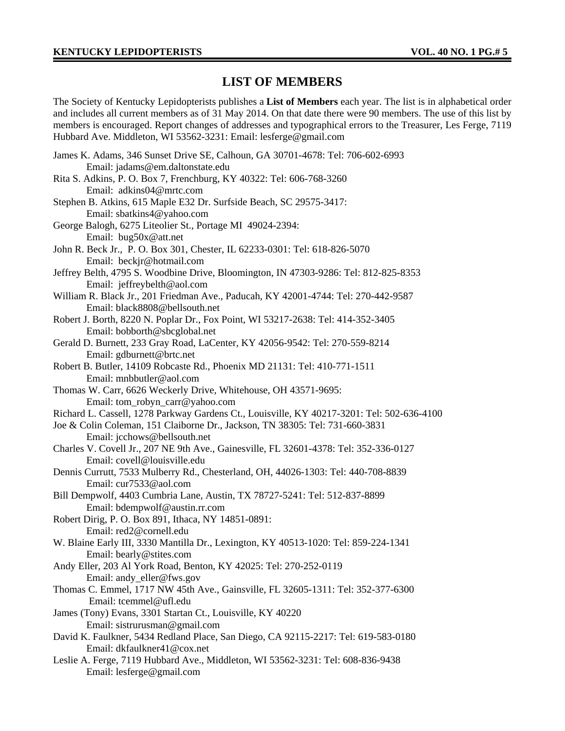## **LIST OF MEMBERS**

The Society of Kentucky Lepidopterists publishes a **List of Members** each year. The list is in alphabetical order and includes all current members as of 31 May 2014. On that date there were 90 members. The use of this list by members is encouraged. Report changes of addresses and typographical errors to the Treasurer, Les Ferge, 7119 Hubbard Ave. Middleton, WI 53562-3231: Email: lesferge@gmail.com

| James K. Adams, 346 Sunset Drive SE, Calhoun, GA 30701-4678: Tel: 706-602-6993<br>Email: jadams@em.daltonstate.edu    |
|-----------------------------------------------------------------------------------------------------------------------|
|                                                                                                                       |
| Rita S. Adkins, P. O. Box 7, Frenchburg, KY 40322: Tel: 606-768-3260                                                  |
| Email: adkins04@mrtc.com                                                                                              |
| Stephen B. Atkins, 615 Maple E32 Dr. Surfside Beach, SC 29575-3417:                                                   |
| Email: sbatkins4@yahoo.com                                                                                            |
| George Balogh, 6275 Liteolier St., Portage MI 49024-2394:                                                             |
| Email: bug50x@att.net                                                                                                 |
| John R. Beck Jr., P. O. Box 301, Chester, IL 62233-0301: Tel: 618-826-5070                                            |
| Email: beckjr@hotmail.com                                                                                             |
| Jeffrey Belth, 4795 S. Woodbine Drive, Bloomington, IN 47303-9286: Tel: 812-825-8353                                  |
| Email: jeffreybelth@aol.com                                                                                           |
| William R. Black Jr., 201 Friedman Ave., Paducah, KY 42001-4744: Tel: 270-442-9587                                    |
| Email: black8808@bellsouth.net                                                                                        |
| Robert J. Borth, 8220 N. Poplar Dr., Fox Point, WI 53217-2638: Tel: 414-352-3405                                      |
| Email: bobborth@sbcglobal.net                                                                                         |
| Gerald D. Burnett, 233 Gray Road, LaCenter, KY 42056-9542: Tel: 270-559-8214                                          |
| Email: gdburnett@brtc.net                                                                                             |
| Robert B. Butler, 14109 Robcaste Rd., Phoenix MD 21131: Tel: 410-771-1511                                             |
| Email: mnbbutler@aol.com                                                                                              |
| Thomas W. Carr, 6626 Weckerly Drive, Whitehouse, OH 43571-9695:                                                       |
| Email: tom_robyn_carr@yahoo.com                                                                                       |
| Richard L. Cassell, 1278 Parkway Gardens Ct., Louisville, KY 40217-3201: Tel: 502-636-4100                            |
| Joe & Colin Coleman, 151 Claiborne Dr., Jackson, TN 38305: Tel: 731-660-3831                                          |
| Email: jcchows@bellsouth.net                                                                                          |
| Charles V. Covell Jr., 207 NE 9th Ave., Gainesville, FL 32601-4378: Tel: 352-336-0127<br>Email: covell@louisville.edu |
|                                                                                                                       |
| Dennis Currutt, 7533 Mulberry Rd., Chesterland, OH, 44026-1303: Tel: 440-708-8839                                     |
| Email: cur7533@aol.com                                                                                                |
| Bill Dempwolf, 4403 Cumbria Lane, Austin, TX 78727-5241: Tel: 512-837-8899                                            |
| Email: bdempwolf@austin.rr.com                                                                                        |
| Robert Dirig, P. O. Box 891, Ithaca, NY 14851-0891:<br>Email: red2@cornell.edu                                        |
| W. Blaine Early III, 3330 Mantilla Dr., Lexington, KY 40513-1020: Tel: 859-224-1341                                   |
| Email: bearly@stites.com                                                                                              |
| Andy Eller, 203 Al York Road, Benton, KY 42025: Tel: 270-252-0119                                                     |
| Email: andy_eller@fws.gov                                                                                             |
| Thomas C. Emmel, 1717 NW 45th Ave., Gainsville, FL 32605-1311: Tel: 352-377-6300                                      |
| Email: tcemmel@ufl.edu                                                                                                |
|                                                                                                                       |
| James (Tony) Evans, 3301 Startan Ct., Louisville, KY 40220<br>Email: sistrurusman@gmail.com                           |
|                                                                                                                       |
| David K. Faulkner, 5434 Redland Place, San Diego, CA 92115-2217: Tel: 619-583-0180<br>Email: dkfaulkner41@cox.net     |
|                                                                                                                       |
| Leslie A. Ferge, 7119 Hubbard Ave., Middleton, WI 53562-3231: Tel: 608-836-9438                                       |
| Email: lesferge@gmail.com                                                                                             |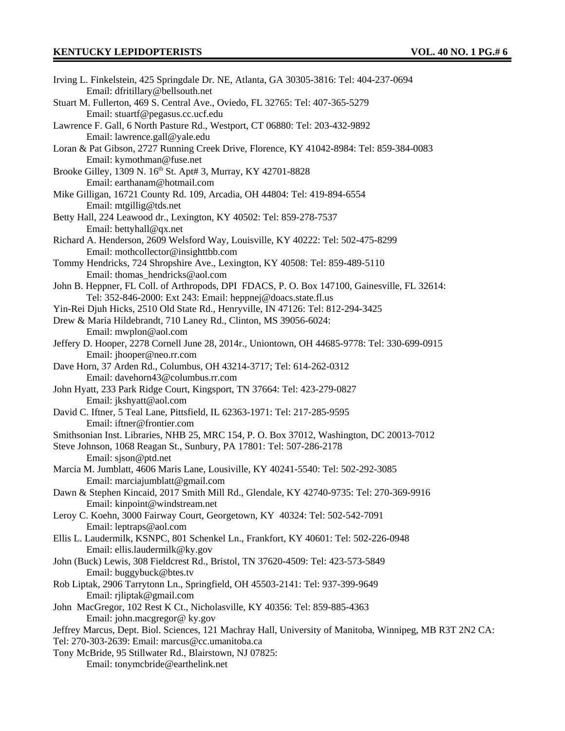| Irving L. Finkelstein, 425 Springdale Dr. NE, Atlanta, GA 30305-3816: Tel: 404-237-0694                  |
|----------------------------------------------------------------------------------------------------------|
| Email: dfritillary@bellsouth.net                                                                         |
| Stuart M. Fullerton, 469 S. Central Ave., Oviedo, FL 32765: Tel: 407-365-5279                            |
| Email: stuartf@pegasus.cc.ucf.edu                                                                        |
| Lawrence F. Gall, 6 North Pasture Rd., Westport, CT 06880: Tel: 203-432-9892                             |
| Email: lawrence.gall@yale.edu                                                                            |
| Loran & Pat Gibson, 2727 Running Creek Drive, Florence, KY 41042-8984: Tel: 859-384-0083                 |
| Email: kymothman@fuse.net                                                                                |
| Brooke Gilley, 1309 N. 16 <sup>th</sup> St. Apt# 3, Murray, KY 42701-8828                                |
| Email: earthanam@hotmail.com                                                                             |
| Mike Gilligan, 16721 County Rd. 109, Arcadia, OH 44804: Tel: 419-894-6554                                |
| Email: mtgillig@tds.net                                                                                  |
| Betty Hall, 224 Leawood dr., Lexington, KY 40502: Tel: 859-278-7537                                      |
| Email: bettyhall@qx.net                                                                                  |
| Richard A. Henderson, 2609 Welsford Way, Louisville, KY 40222: Tel: 502-475-8299                         |
| Email: mothcollector@insighttbb.com                                                                      |
| Tommy Hendricks, 724 Shropshire Ave., Lexington, KY 40508: Tel: 859-489-5110                             |
| Email: thomas_hendricks@aol.com                                                                          |
| John B. Heppner, FL Coll. of Arthropods, DPI FDACS, P. O. Box 147100, Gainesville, FL 32614:             |
| Tel: 352-846-2000: Ext 243: Email: heppnej@doacs.state.fl.us                                             |
| Yin-Rei Djuh Hicks, 2510 Old State Rd., Henryville, IN 47126: Tel: 812-294-3425                          |
| Drew & Maria Hildebrandt, 710 Laney Rd., Clinton, MS 39056-6024:                                         |
| Email: mwplon@aol.com                                                                                    |
| Jeffery D. Hooper, 2278 Cornell June 28, 2014r., Uniontown, OH 44685-9778: Tel: 330-699-0915             |
| Email: jhooper@neo.rr.com                                                                                |
| Dave Horn, 37 Arden Rd., Columbus, OH 43214-3717; Tel: 614-262-0312                                      |
| Email: davehorn43@columbus.rr.com                                                                        |
| John Hyatt, 233 Park Ridge Court, Kingsport, TN 37664: Tel: 423-279-0827                                 |
| Email: jkshyatt@aol.com                                                                                  |
| David C. Iftner, 5 Teal Lane, Pittsfield, IL 62363-1971: Tel: 217-285-9595                               |
| Email: iftner@frontier.com                                                                               |
| Smithsonian Inst. Libraries, NHB 25, MRC 154, P. O. Box 37012, Washington, DC 20013-7012                 |
| Steve Johnson, 1068 Reagan St., Sunbury, PA 17801: Tel: 507-286-2178                                     |
| Email: sjson@ptd.net                                                                                     |
| Marcia M. Jumblatt, 4606 Maris Lane, Lousiville, KY 40241-5540: Tel: 502-292-3085                        |
| Email: marciajumblatt@gmail.com                                                                          |
| Dawn & Stephen Kincaid, 2017 Smith Mill Rd., Glendale, KY 42740-9735: Tel: 270-369-9916                  |
| Email: kinpoint@windstream.net                                                                           |
| Leroy C. Koehn, 3000 Fairway Court, Georgetown, KY 40324: Tel: 502-542-7091                              |
| Email: leptraps@aol.com                                                                                  |
| Ellis L. Laudermilk, KSNPC, 801 Schenkel Ln., Frankfort, KY 40601: Tel: 502-226-0948                     |
| Email: ellis.laudermilk@ky.gov                                                                           |
| John (Buck) Lewis, 308 Fieldcrest Rd., Bristol, TN 37620-4509: Tel: 423-573-5849                         |
| Email: buggybuck@btes.tv                                                                                 |
| Rob Liptak, 2906 Tarrytonn Ln., Springfield, OH 45503-2141: Tel: 937-399-9649                            |
| Email: rjliptak@gmail.com                                                                                |
| John MacGregor, 102 Rest K Ct., Nicholasville, KY 40356: Tel: 859-885-4363                               |
| Email: john.macgregor@ ky.gov                                                                            |
| Jeffrey Marcus, Dept. Biol. Sciences, 121 Machray Hall, University of Manitoba, Winnipeg, MB R3T 2N2 CA: |
| Tel: 270-303-2639: Email: marcus@cc.umanitoba.ca                                                         |
| Tony McBride, 95 Stillwater Rd., Blairstown, NJ 07825:                                                   |
| Email: tonymcbride@earthelink.net                                                                        |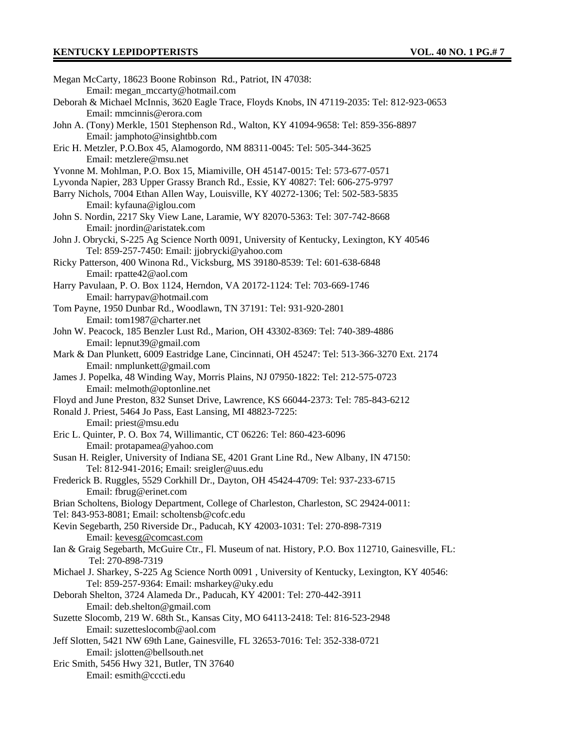| Megan McCarty, 18623 Boone Robinson Rd., Patriot, IN 47038:                                        |
|----------------------------------------------------------------------------------------------------|
| Email: megan_mccarty@hotmail.com                                                                   |
| Deborah & Michael McInnis, 3620 Eagle Trace, Floyds Knobs, IN 47119-2035: Tel: 812-923-0653        |
| Email: mmcinnis@erora.com                                                                          |
| John A. (Tony) Merkle, 1501 Stephenson Rd., Walton, KY 41094-9658: Tel: 859-356-8897               |
| Email: jamphoto@insightbb.com                                                                      |
| Eric H. Metzler, P.O.Box 45, Alamogordo, NM 88311-0045: Tel: 505-344-3625                          |
| Email: metzlere@msu.net                                                                            |
| Yvonne M. Mohlman, P.O. Box 15, Miamiville, OH 45147-0015: Tel: 573-677-0571                       |
| Lyvonda Napier, 283 Upper Grassy Branch Rd., Essie, KY 40827: Tel: 606-275-9797                    |
| Barry Nichols, 7004 Ethan Allen Way, Louisville, KY 40272-1306; Tel: 502-583-5835                  |
| Email: kyfauna@iglou.com                                                                           |
|                                                                                                    |
| John S. Nordin, 2217 Sky View Lane, Laramie, WY 82070-5363: Tel: 307-742-8668                      |
| Email: jnordin@aristatek.com                                                                       |
| John J. Obrycki, S-225 Ag Science North 0091, University of Kentucky, Lexington, KY 40546          |
| Tel: 859-257-7450: Email: jjobrycki@yahoo.com                                                      |
| Ricky Patterson, 400 Winona Rd., Vicksburg, MS 39180-8539: Tel: 601-638-6848                       |
| Email: rpatte42@aol.com                                                                            |
| Harry Pavulaan, P. O. Box 1124, Herndon, VA 20172-1124: Tel: 703-669-1746                          |
| Email: harrypav@hotmail.com                                                                        |
| Tom Payne, 1950 Dunbar Rd., Woodlawn, TN 37191: Tel: 931-920-2801                                  |
| Email: tom1987@charter.net                                                                         |
| John W. Peacock, 185 Benzler Lust Rd., Marion, OH 43302-8369: Tel: 740-389-4886                    |
| Email: lepnut39@gmail.com                                                                          |
| Mark & Dan Plunkett, 6009 Eastridge Lane, Cincinnati, OH 45247: Tel: 513-366-3270 Ext. 2174        |
| Email: nmplunkett@gmail.com                                                                        |
| James J. Popelka, 48 Winding Way, Morris Plains, NJ 07950-1822: Tel: 212-575-0723                  |
| Email: melmoth@optonline.net                                                                       |
| Floyd and June Preston, 832 Sunset Drive, Lawrence, KS 66044-2373: Tel: 785-843-6212               |
| Ronald J. Priest, 5464 Jo Pass, East Lansing, MI 48823-7225:                                       |
| Email: priest@msu.edu                                                                              |
| Eric L. Quinter, P. O. Box 74, Willimantic, CT 06226: Tel: 860-423-6096                            |
|                                                                                                    |
| Email: protapamea@yahoo.com                                                                        |
| Susan H. Reigler, University of Indiana SE, 4201 Grant Line Rd., New Albany, IN 47150:             |
| Tel: 812-941-2016; Email: sreigler@uus.edu                                                         |
| Frederick B. Ruggles, 5529 Corkhill Dr., Dayton, OH 45424-4709: Tel: 937-233-6715                  |
| Email: fbrug@erinet.com                                                                            |
| Brian Scholtens, Biology Department, College of Charleston, Charleston, SC 29424-0011:             |
| Tel: 843-953-8081; Email: scholtensb@cofc.edu                                                      |
| Kevin Segebarth, 250 Riverside Dr., Paducah, KY 42003-1031: Tel: 270-898-7319                      |
| Email: kevesg@comcast.com                                                                          |
| Ian & Graig Segebarth, McGuire Ctr., Fl. Museum of nat. History, P.O. Box 112710, Gainesville, FL: |
| Tel: 270-898-7319                                                                                  |
| Michael J. Sharkey, S-225 Ag Science North 0091, University of Kentucky, Lexington, KY 40546:      |
| Tel: 859-257-9364: Email: msharkey@uky.edu                                                         |
| Deborah Shelton, 3724 Alameda Dr., Paducah, KY 42001: Tel: 270-442-3911                            |
| Email: deb.shelton@gmail.com                                                                       |
| Suzette Slocomb, 219 W. 68th St., Kansas City, MO 64113-2418: Tel: 816-523-2948                    |
| Email: suzetteslocomb@aol.com                                                                      |
| Jeff Slotten, 5421 NW 69th Lane, Gainesville, FL 32653-7016: Tel: 352-338-0721                     |
| Email: jslotten@bellsouth.net                                                                      |
| Eric Smith, 5456 Hwy 321, Butler, TN 37640                                                         |
| Email: esmith@cccti.edu                                                                            |
|                                                                                                    |